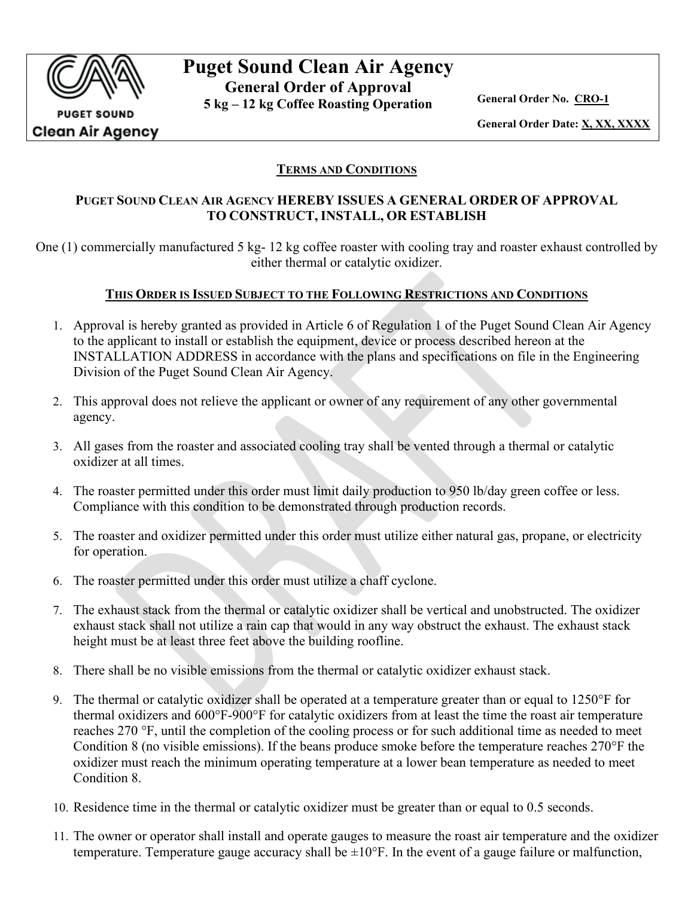

**PUGET SOUND Clean Air Agency** 

# **Puget Sound Clean Air Agency General Order of Approval**

**5 kg – 12 kg Coffee Roasting Operation General Order No. CRO-1**

**General Order Date: X, XX, XXXX**

## **TERMS AND CONDITIONS**

## **PUGET SOUND CLEAN AIR AGENCY HEREBY ISSUES A GENERAL ORDER OF APPROVAL TO CONSTRUCT, INSTALL, OR ESTABLISH**

One (1) commercially manufactured 5 kg- 12 kg coffee roaster with cooling tray and roaster exhaust controlled by either thermal or catalytic oxidizer.

## **THIS ORDER IS ISSUED SUBJECT TO THE FOLLOWING RESTRICTIONS AND CONDITIONS**

- 1. Approval is hereby granted as provided in Article 6 of Regulation 1 of the Puget Sound Clean Air Agency to the applicant to install or establish the equipment, device or process described hereon at the INSTALLATION ADDRESS in accordance with the plans and specifications on file in the Engineering Division of the Puget Sound Clean Air Agency.
- 2. This approval does not relieve the applicant or owner of any requirement of any other governmental agency.
- 3. All gases from the roaster and associated cooling tray shall be vented through a thermal or catalytic oxidizer at all times.
- 4. The roaster permitted under this order must limit daily production to 950 lb/day green coffee or less. Compliance with this condition to be demonstrated through production records.
- 5. The roaster and oxidizer permitted under this order must utilize either natural gas, propane, or electricity for operation.
- 6. The roaster permitted under this order must utilize a chaff cyclone.
- 7. The exhaust stack from the thermal or catalytic oxidizer shall be vertical and unobstructed. The oxidizer exhaust stack shall not utilize a rain cap that would in any way obstruct the exhaust. The exhaust stack height must be at least three feet above the building roofline.
- <span id="page-0-0"></span>8. There shall be no visible emissions from the thermal or catalytic oxidizer exhaust stack.
- <span id="page-0-1"></span>9. The thermal or catalytic oxidizer shall be operated at a temperature greater than or equal to 1250°F for thermal oxidizers and 600°F-900°F for catalytic oxidizers from at least the time the roast air temperature reaches 270 °F, until the completion of the cooling process or for such additional time as needed to meet Condition [8](#page-0-0) (no visible emissions). If the beans produce smoke before the temperature reaches 270°F the oxidizer must reach the minimum operating temperature at a lower bean temperature as needed to meet Condition [8.](#page-0-0)
- 10. Residence time in the thermal or catalytic oxidizer must be greater than or equal to 0.5 seconds.
- 11. The owner or operator shall install and operate gauges to measure the roast air temperature and the oxidizer temperature. Temperature gauge accuracy shall be  $\pm 10^{\circ}$ F. In the event of a gauge failure or malfunction,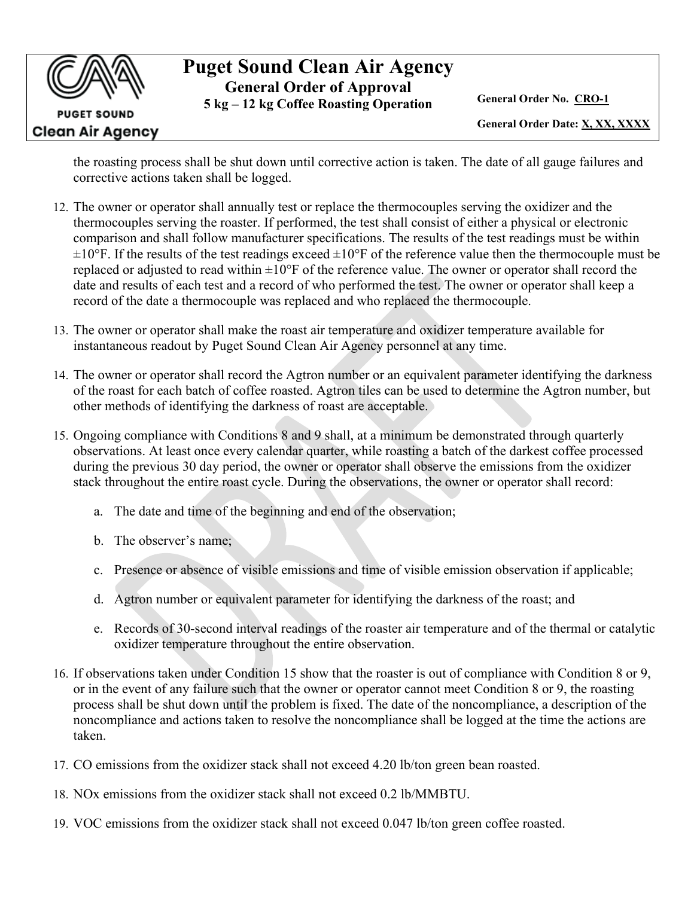**PUGET SOUND** Clean Air Agency

## **Puget Sound Clean Air Agency General Order of Approval**

**5 kg – 12 kg Coffee Roasting Operation General Order No. CRO-1**

**General Order Date: X, XX, XXXX**

the roasting process shall be shut down until corrective action is taken. The date of all gauge failures and corrective actions taken shall be logged.

- 12. The owner or operator shall annually test or replace the thermocouples serving the oxidizer and the thermocouples serving the roaster. If performed, the test shall consist of either a physical or electronic comparison and shall follow manufacturer specifications. The results of the test readings must be within  $\pm 10^{\circ}$ F. If the results of the test readings exceed  $\pm 10^{\circ}$ F of the reference value then the thermocouple must be replaced or adjusted to read within  $\pm 10^{\circ}$  F of the reference value. The owner or operator shall record the date and results of each test and a record of who performed the test. The owner or operator shall keep a record of the date a thermocouple was replaced and who replaced the thermocouple.
- 13. The owner or operator shall make the roast air temperature and oxidizer temperature available for instantaneous readout by Puget Sound Clean Air Agency personnel at any time.
- 14. The owner or operator shall record the Agtron number or an equivalent parameter identifying the darkness of the roast for each batch of coffee roasted. Agtron tiles can be used to determine the Agtron number, but other methods of identifying the darkness of roast are acceptable.
- <span id="page-1-0"></span>15. Ongoing compliance with Conditions [8](#page-0-0) and [9](#page-0-1) shall, at a minimum be demonstrated through quarterly observations. At least once every calendar quarter, while roasting a batch of the darkest coffee processed during the previous 30 day period, the owner or operator shall observe the emissions from the oxidizer stack throughout the entire roast cycle. During the observations, the owner or operator shall record:
	- a. The date and time of the beginning and end of the observation;
	- b. The observer's name;
	- c. Presence or absence of visible emissions and time of visible emission observation if applicable;
	- d. Agtron number or equivalent parameter for identifying the darkness of the roast; and
	- e. Records of 30-second interval readings of the roaster air temperature and of the thermal or catalytic oxidizer temperature throughout the entire observation.
- 16. If observations taken under Condition [15](#page-1-0) show that the roaster is out of compliance with Condition [8](#page-0-0) or [9,](#page-0-1) or in the event of any failure such that the owner or operator cannot meet Condition [8](#page-0-0) or [9,](#page-0-1) the roasting process shall be shut down until the problem is fixed. The date of the noncompliance, a description of the noncompliance and actions taken to resolve the noncompliance shall be logged at the time the actions are taken.
- <span id="page-1-1"></span>17. CO emissions from the oxidizer stack shall not exceed 4.20 lb/ton green bean roasted.
- <span id="page-1-2"></span>18. NOx emissions from the oxidizer stack shall not exceed 0.2 lb/MMBTU.
- <span id="page-1-3"></span>19. VOC emissions from the oxidizer stack shall not exceed 0.047 lb/ton green coffee roasted.